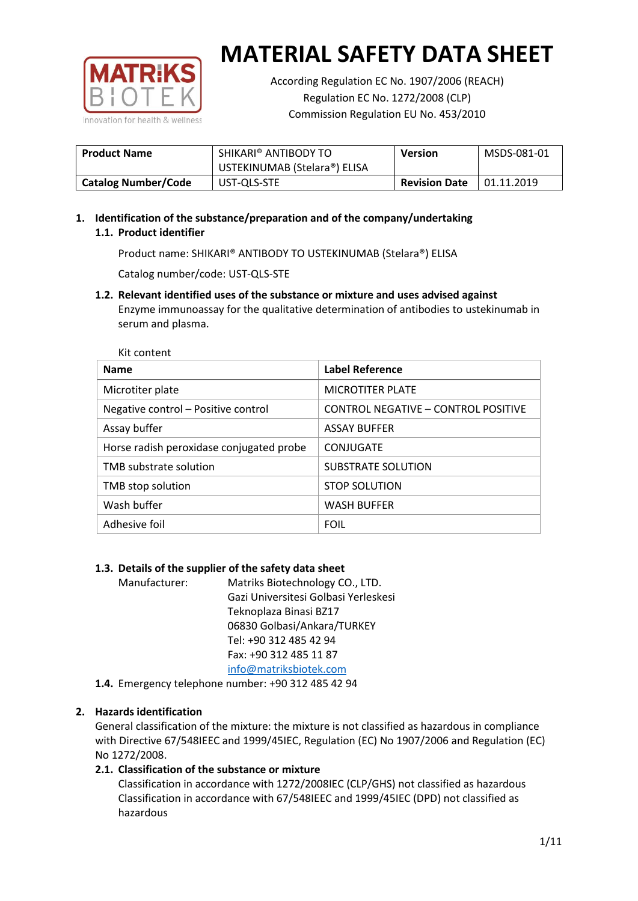

According Regulation EC No. 1907/2006 (REACH) Regulation EC No. 1272/2008 (CLP) Commission Regulation EU No. 453/2010

| <b>Product Name</b>        | SHIKARI® ANTIBODY TO<br>USTEKINUMAB (Stelara®) ELISA | <b>Version</b>       | MSDS-081-01 |
|----------------------------|------------------------------------------------------|----------------------|-------------|
| <b>Catalog Number/Code</b> | UST-QLS-STE                                          | <b>Revision Date</b> | 01.11.2019  |

# **1. Identification of the substance/preparation and of the company/undertaking 1.1. Product identifier**

Product name: SHIKARI® ANTIBODY TO USTEKINUMAB (Stelara®) ELISA

Catalog number/code: UST-QLS-STE

**1.2. Relevant identified uses of the substance or mixture and uses advised against** Enzyme immunoassay for the qualitative determination of antibodies to ustekinumab in serum and plasma.

| <b>Name</b>                              | Label Reference                     |
|------------------------------------------|-------------------------------------|
| Microtiter plate                         | <b>MICROTITER PLATE</b>             |
| Negative control - Positive control      | CONTROL NEGATIVE - CONTROL POSITIVE |
| Assay buffer                             | <b>ASSAY BUFFER</b>                 |
| Horse radish peroxidase conjugated probe | CONJUGATE                           |
| TMB substrate solution                   | SUBSTRATE SOLUTION                  |
| TMB stop solution                        | <b>STOP SOLUTION</b>                |
| Wash buffer                              | <b>WASH BUFFER</b>                  |
| Adhesive foil                            | <b>FOIL</b>                         |

## **1.3. Details of the supplier of the safety data sheet**

Manufacturer: Matriks Biotechnology CO., LTD. Gazi Universitesi Golbasi Yerleskesi Teknoplaza Binasi BZ17 06830 Golbasi/Ankara/TURKEY Tel: +90 312 485 42 94 Fax: +90 312 485 11 87 [info@matriksbiotek.com](mailto:info@matriksbiotek.com)

**1.4.** Emergency telephone number: +90 312 485 42 94

## **2. Hazards identification**

General classification of the mixture: the mixture is not classified as hazardous in compliance with Directive 67/548IEEC and 1999/45IEC, Regulation (EC) No 1907/2006 and Regulation (EC) No 1272/2008.

# **2.1. Classification of the substance or mixture**

Classification in accordance with 1272/2008IEC (CLP/GHS) not classified as hazardous Classification in accordance with 67/548IEEC and 1999/45IEC (DPD) not classified as hazardous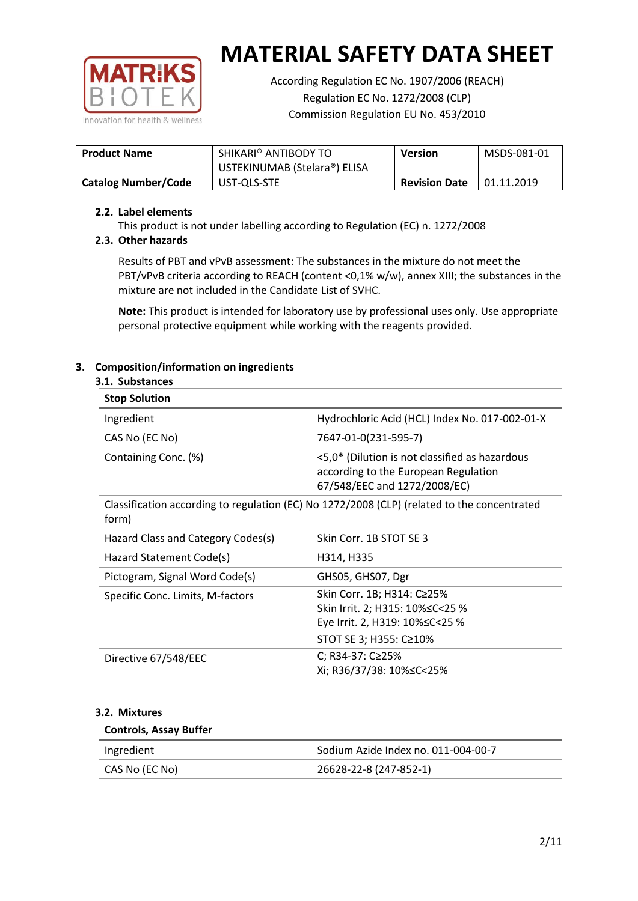

According Regulation EC No. 1907/2006 (REACH) Regulation EC No. 1272/2008 (CLP) Commission Regulation EU No. 453/2010

| <b>Product Name</b>        | SHIKARI® ANTIBODY TO<br>USTEKINUMAB (Stelara®) ELISA | <b>Version</b>       | MSDS-081-01       |
|----------------------------|------------------------------------------------------|----------------------|-------------------|
| <b>Catalog Number/Code</b> | UST-QLS-STE                                          | <b>Revision Date</b> | $\mid$ 01.11.2019 |

### **2.2. Label elements**

This product is not under labelling according to Regulation (EC) n. 1272/2008

## **2.3. Other hazards**

Results of PBT and vPvB assessment: The substances in the mixture do not meet the PBT/vPvB criteria according to REACH (content <0,1% w/w), annex XIII; the substances in the mixture are not included in the Candidate List of SVHC.

**Note:** This product is intended for laboratory use by professional uses only. Use appropriate personal protective equipment while working with the reagents provided.

# **3. Composition/information on ingredients**

### **3.1. Substances**

| <b>Stop Solution</b>               |                                                                                                                           |
|------------------------------------|---------------------------------------------------------------------------------------------------------------------------|
| Ingredient                         | Hydrochloric Acid (HCL) Index No. 017-002-01-X                                                                            |
| CAS No (EC No)                     | 7647-01-0(231-595-7)                                                                                                      |
| Containing Conc. (%)               | <5,0* (Dilution is not classified as hazardous<br>according to the European Regulation<br>67/548/EEC and 1272/2008/EC)    |
| form)                              | Classification according to regulation (EC) No 1272/2008 (CLP) (related to the concentrated                               |
| Hazard Class and Category Codes(s) | Skin Corr. 1B STOT SE 3                                                                                                   |
| Hazard Statement Code(s)           | H314, H335                                                                                                                |
| Pictogram, Signal Word Code(s)     | GHS05, GHS07, Dgr                                                                                                         |
| Specific Conc. Limits, M-factors   | Skin Corr. 1B; H314: C≥25%<br>Skin Irrit. 2; H315: 10%≤C<25 %<br>Eye Irrit. 2, H319: 10%≤C<25 %<br>STOT SE 3; H355: C≥10% |
| Directive 67/548/EEC               | C; R34-37: C≥25%<br>Xi; R36/37/38: 10%≤C<25%                                                                              |

#### **3.2. Mixtures**

| <b>Controls, Assay Buffer</b> |                                     |
|-------------------------------|-------------------------------------|
| Ingredient                    | Sodium Azide Index no. 011-004-00-7 |
| CAS No (EC No)                | 26628-22-8 (247-852-1)              |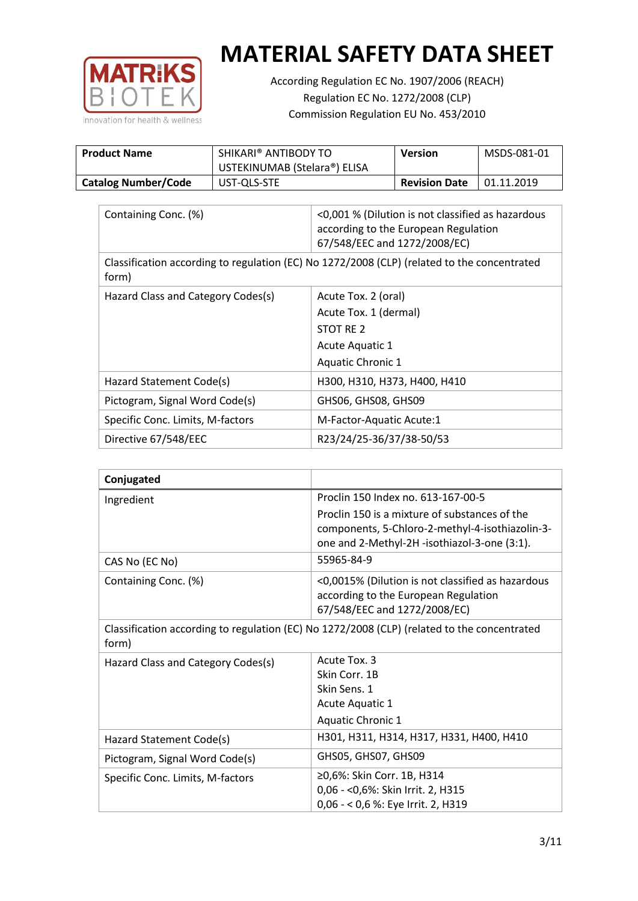

According Regulation EC No. 1907/2006 (REACH) Regulation EC No. 1272/2008 (CLP) Commission Regulation EU No. 453/2010

| <b>Product Name</b>        | SHIKARI® ANTIBODY TO<br>USTEKINUMAB (Stelara®) ELISA | Version              | MSDS-081-01 |
|----------------------------|------------------------------------------------------|----------------------|-------------|
| <b>Catalog Number/Code</b> | UST-QLS-STE                                          | <b>Revision Date</b> | 01.11.2019  |

| Containing Conc. (%)                                                                                 | <0,001 % (Dilution is not classified as hazardous<br>according to the European Regulation<br>67/548/EEC and 1272/2008/EC) |  |
|------------------------------------------------------------------------------------------------------|---------------------------------------------------------------------------------------------------------------------------|--|
| Classification according to regulation (EC) No 1272/2008 (CLP) (related to the concentrated<br>form) |                                                                                                                           |  |
| Hazard Class and Category Codes(s)                                                                   | Acute Tox. 2 (oral)                                                                                                       |  |
|                                                                                                      | Acute Tox. 1 (dermal)                                                                                                     |  |
|                                                                                                      | STOT RE 2                                                                                                                 |  |
|                                                                                                      | Acute Aquatic 1                                                                                                           |  |
|                                                                                                      | <b>Aquatic Chronic 1</b>                                                                                                  |  |
| Hazard Statement Code(s)                                                                             | H300, H310, H373, H400, H410                                                                                              |  |
| Pictogram, Signal Word Code(s)                                                                       | GHS06, GHS08, GHS09                                                                                                       |  |
| Specific Conc. Limits, M-factors                                                                     | M-Factor-Aquatic Acute:1                                                                                                  |  |
| Directive 67/548/EEC                                                                                 | R23/24/25-36/37/38-50/53                                                                                                  |  |

| Conjugated                         |                                                                                                                                                  |
|------------------------------------|--------------------------------------------------------------------------------------------------------------------------------------------------|
| Ingredient                         | Proclin 150 Index no. 613-167-00-5                                                                                                               |
|                                    | Proclin 150 is a mixture of substances of the<br>components, 5-Chloro-2-methyl-4-isothiazolin-3-<br>one and 2-Methyl-2H -isothiazol-3-one (3:1). |
| CAS No (EC No)                     | 55965-84-9                                                                                                                                       |
| Containing Conc. (%)               | <0,0015% (Dilution is not classified as hazardous<br>according to the European Regulation<br>67/548/EEC and 1272/2008/EC)                        |
| form)                              | Classification according to regulation (EC) No 1272/2008 (CLP) (related to the concentrated                                                      |
| Hazard Class and Category Codes(s) | Acute Tox. 3                                                                                                                                     |
|                                    | Skin Corr. 1B                                                                                                                                    |
|                                    | Skin Sens. 1                                                                                                                                     |
|                                    | <b>Acute Aquatic 1</b>                                                                                                                           |
|                                    | Aquatic Chronic 1                                                                                                                                |
| Hazard Statement Code(s)           | H301, H311, H314, H317, H331, H400, H410                                                                                                         |
| Pictogram, Signal Word Code(s)     | GHS05, GHS07, GHS09                                                                                                                              |
| Specific Conc. Limits, M-factors   | ≥0,6%: Skin Corr. 1B, H314<br>0,06 - < 0,6%: Skin Irrit. 2, H315<br>0,06 - < 0,6 %: Eye Irrit. 2, H319                                           |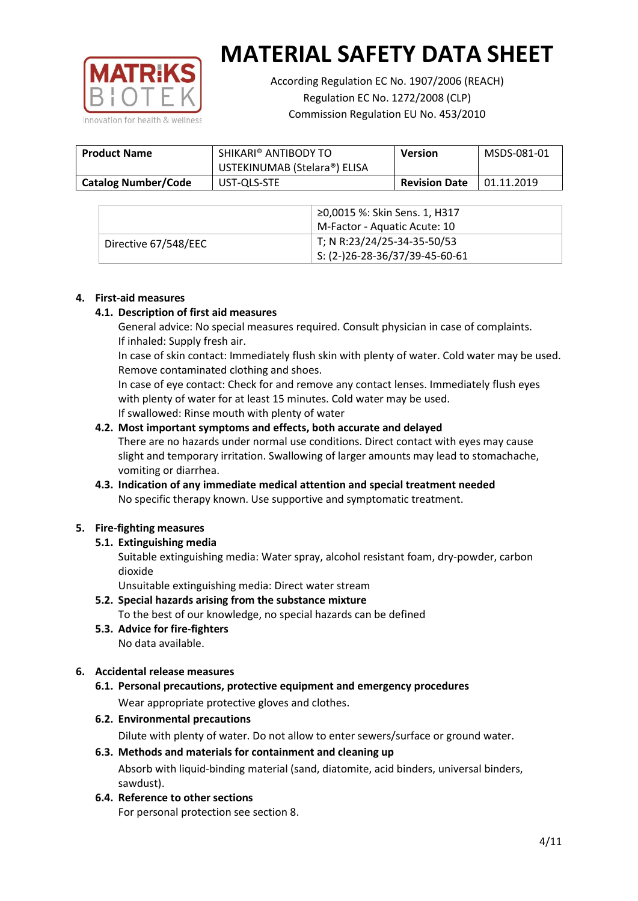

According Regulation EC No. 1907/2006 (REACH) Regulation EC No. 1272/2008 (CLP) Commission Regulation EU No. 453/2010

| <b>Product Name</b>        | SHIKARI® ANTIBODY TO<br>USTEKINUMAB (Stelara®) ELISA | <b>Version</b>       | MSDS-081-01 |
|----------------------------|------------------------------------------------------|----------------------|-------------|
| <b>Catalog Number/Code</b> | UST-QLS-STE                                          | <b>Revision Date</b> | 01.11.2019  |

|                      | ≥0,0015 %: Skin Sens. 1, H317    |
|----------------------|----------------------------------|
|                      | M-Factor - Aquatic Acute: 10     |
| Directive 67/548/EEC | T; N R:23/24/25-34-35-50/53      |
|                      | $5: (2-)26-28-36/37/39-45-60-61$ |

### **4. First-aid measures**

### **4.1. Description of first aid measures**

General advice: No special measures required. Consult physician in case of complaints. If inhaled: Supply fresh air.

In case of skin contact: Immediately flush skin with plenty of water. Cold water may be used. Remove contaminated clothing and shoes.

In case of eye contact: Check for and remove any contact lenses. Immediately flush eyes with plenty of water for at least 15 minutes. Cold water may be used. If swallowed: Rinse mouth with plenty of water

### **4.2. Most important symptoms and effects, both accurate and delayed**

There are no hazards under normal use conditions. Direct contact with eyes may cause slight and temporary irritation. Swallowing of larger amounts may lead to stomachache, vomiting or diarrhea.

## **4.3. Indication of any immediate medical attention and special treatment needed** No specific therapy known. Use supportive and symptomatic treatment.

## **5. Fire-fighting measures**

## **5.1. Extinguishing media**

Suitable extinguishing media: Water spray, alcohol resistant foam, dry-powder, carbon dioxide

Unsuitable extinguishing media: Direct water stream

- **5.2. Special hazards arising from the substance mixture** To the best of our knowledge, no special hazards can be defined
- **5.3. Advice for fire-fighters** No data available.

## **6. Accidental release measures**

- **6.1. Personal precautions, protective equipment and emergency procedures** Wear appropriate protective gloves and clothes.
- **6.2. Environmental precautions**

Dilute with plenty of water. Do not allow to enter sewers/surface or ground water.

#### **6.3. Methods and materials for containment and cleaning up**

Absorb with liquid-binding material (sand, diatomite, acid binders, universal binders, sawdust).

**6.4. Reference to other sections**

For personal protection see section 8.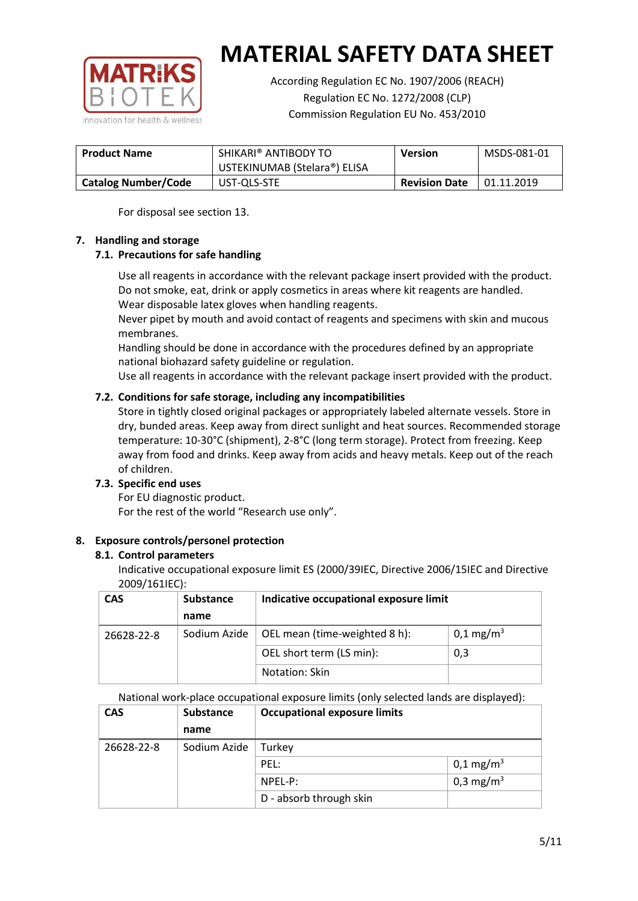

According Regulation EC No. 1907/2006 (REACH) Regulation EC No. 1272/2008 (CLP) Commission Regulation EU No. 453/2010

| <b>Product Name</b>        | SHIKARI® ANTIBODY TO<br>USTEKINUMAB (Stelara®) ELISA | <b>Version</b>       | MSDS-081-01 |
|----------------------------|------------------------------------------------------|----------------------|-------------|
|                            |                                                      |                      |             |
| <b>Catalog Number/Code</b> | UST-QLS-STE                                          | <b>Revision Date</b> | 01.11.2019  |

For disposal see section 13.

## **7. Handling and storage**

## **7.1. Precautions for safe handling**

Use all reagents in accordance with the relevant package insert provided with the product. Do not smoke, eat, drink or apply cosmetics in areas where kit reagents are handled. Wear disposable latex gloves when handling reagents.

Never pipet by mouth and avoid contact of reagents and specimens with skin and mucous membranes.

Handling should be done in accordance with the procedures defined by an appropriate national biohazard safety guideline or regulation.

Use all reagents in accordance with the relevant package insert provided with the product.

## **7.2. Conditions for safe storage, including any incompatibilities**

Store in tightly closed original packages or appropriately labeled alternate vessels. Store in dry, bunded areas. Keep away from direct sunlight and heat sources. Recommended storage temperature: 10-30°C (shipment), 2-8°C (long term storage). Protect from freezing. Keep away from food and drinks. Keep away from acids and heavy metals. Keep out of the reach of children.

## **7.3. Specific end uses**

For EU diagnostic product. For the rest of the world "Research use only".

## **8. Exposure controls/personel protection**

#### **8.1. Control parameters**

Indicative occupational exposure limit ES (2000/39IEC, Directive 2006/15IEC and Directive 2009/161IEC):

| <b>CAS</b> | <b>Substance</b> | Indicative occupational exposure limit |                         |
|------------|------------------|----------------------------------------|-------------------------|
|            | name             |                                        |                         |
| 26628-22-8 | Sodium Azide     | OEL mean (time-weighted 8 h):          | $0,1 \,\mathrm{mg/m^3}$ |
|            |                  | OEL short term (LS min):               | 0,3                     |
|            |                  | Notation: Skin                         |                         |

National work-place occupational exposure limits (only selected lands are displayed):

| <b>CAS</b> | <b>Substance</b> | <b>Occupational exposure limits</b> |                         |
|------------|------------------|-------------------------------------|-------------------------|
|            | name             |                                     |                         |
| 26628-22-8 | Sodium Azide     | Turkey                              |                         |
|            |                  | PEL:                                | $0,1 \,\mathrm{mg/m^3}$ |
|            |                  | $NPEL-P$ :                          | 0,3 mg/m <sup>3</sup>   |
|            |                  | D - absorb through skin             |                         |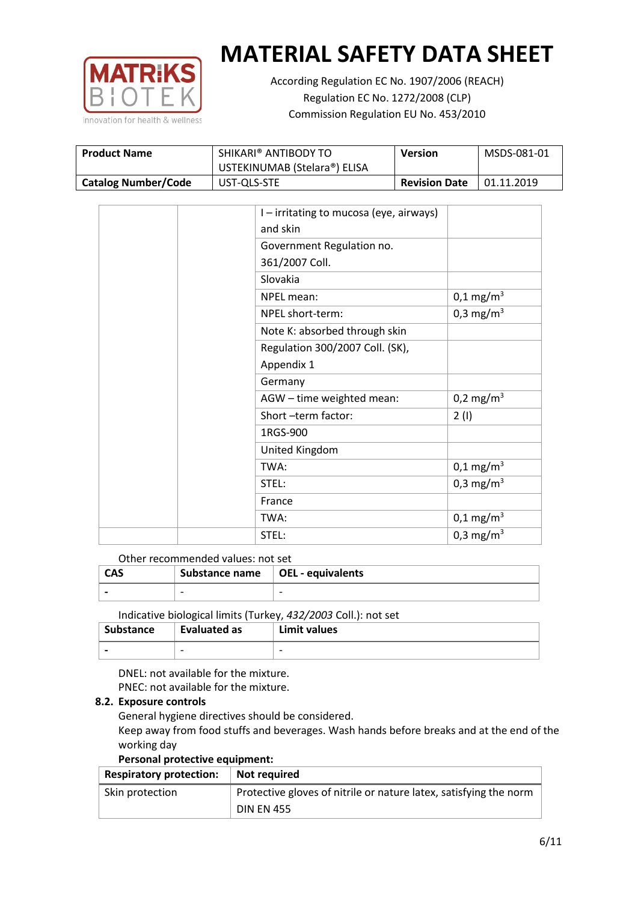

According Regulation EC No. 1907/2006 (REACH) Regulation EC No. 1272/2008 (CLP) Commission Regulation EU No. 453/2010

| <b>Product Name</b>        | SHIKARI® ANTIBODY TO<br><b>Version</b><br>USTEKINUMAB (Stelara®) ELISA |                      | MSDS-081-01 |
|----------------------------|------------------------------------------------------------------------|----------------------|-------------|
| <b>Catalog Number/Code</b> | UST-QLS-STE                                                            | <b>Revision Date</b> | 01.11.2019  |

| I - irritating to mucosa (eye, airways) |                       |
|-----------------------------------------|-----------------------|
| and skin                                |                       |
| Government Regulation no.               |                       |
| 361/2007 Coll.                          |                       |
| Slovakia                                |                       |
| NPEL mean:                              | $0,1 \text{ mg/m}^3$  |
| NPEL short-term:                        | 0,3 mg/m <sup>3</sup> |
| Note K: absorbed through skin           |                       |
| Regulation 300/2007 Coll. (SK),         |                       |
| Appendix 1                              |                       |
| Germany                                 |                       |
| AGW - time weighted mean:               | 0,2 mg/m <sup>3</sup> |
| Short-term factor:                      | 2(1)                  |
| 1RGS-900                                |                       |
| United Kingdom                          |                       |
| TWA:                                    | $0,1 \text{ mg/m}^3$  |
| STEL:                                   | 0,3 mg/m <sup>3</sup> |
| France                                  |                       |
| TWA:                                    | $0,1 \text{ mg/m}^3$  |
| STEL:                                   | 0,3 mg/m <sup>3</sup> |

#### Other recommended values: not set

| <b>CAS</b> | Substance name $\vert$ OEL - equivalents |  |
|------------|------------------------------------------|--|
|            | $\overline{\phantom{0}}$                 |  |
|            |                                          |  |

Indicative biological limits (Turkey, *432/2003* Coll.): not set

| Substance                | Evaluated as             | Limit values             |
|--------------------------|--------------------------|--------------------------|
| $\overline{\phantom{0}}$ | $\overline{\phantom{0}}$ | $\overline{\phantom{0}}$ |

DNEL: not available for the mixture. PNEC: not available for the mixture.

## **8.2. Exposure controls**

General hygiene directives should be considered.

Keep away from food stuffs and beverages. Wash hands before breaks and at the end of the working day

#### **Personal protective equipment:**

| <b>Respiratory protection:</b> | Not required                                                      |
|--------------------------------|-------------------------------------------------------------------|
| Skin protection                | Protective gloves of nitrile or nature latex, satisfying the norm |
|                                | <b>DIN EN 455</b>                                                 |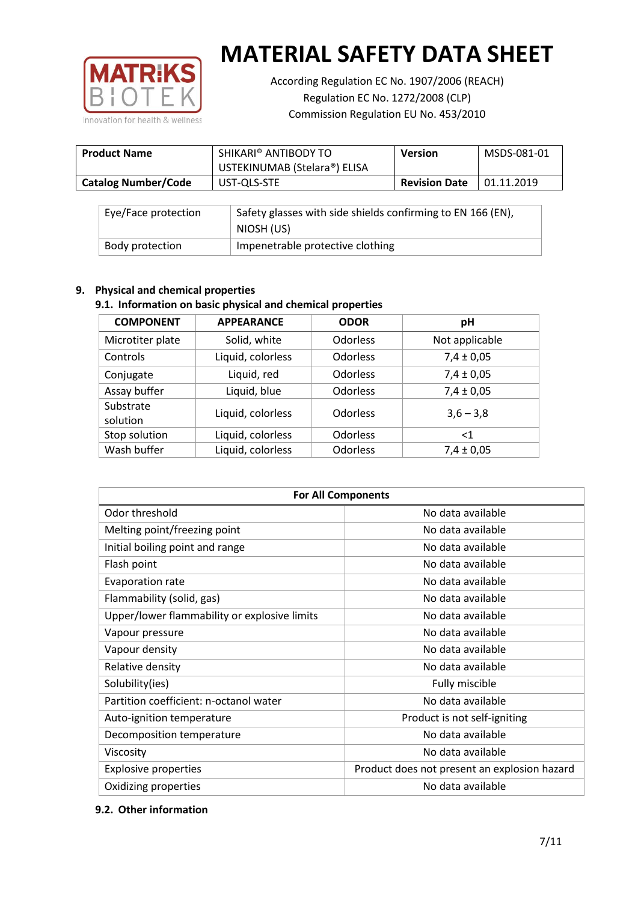

According Regulation EC No. 1907/2006 (REACH) Regulation EC No. 1272/2008 (CLP) Commission Regulation EU No. 453/2010

| <b>Product Name</b>        | SHIKARI® ANTIBODY TO<br>USTEKINUMAB (Stelara®) ELISA | <b>Version</b>       | MSDS-081-01 |
|----------------------------|------------------------------------------------------|----------------------|-------------|
| <b>Catalog Number/Code</b> | UST-QLS-STE                                          | <b>Revision Date</b> | 01.11.2019  |

| Eye/Face protection | Safety glasses with side shields confirming to EN 166 (EN),<br>NIOSH (US) |
|---------------------|---------------------------------------------------------------------------|
| Body protection     | Impenetrable protective clothing                                          |

## **9. Physical and chemical properties**

## **9.1. Information on basic physical and chemical properties**

| <b>COMPONENT</b>      | <b>APPEARANCE</b> | <b>ODOR</b>     | pH             |
|-----------------------|-------------------|-----------------|----------------|
| Microtiter plate      | Solid, white      | Odorless        | Not applicable |
| Controls              | Liquid, colorless | Odorless        | $7,4 \pm 0,05$ |
| Conjugate             | Liquid, red       | Odorless        | $7,4 \pm 0,05$ |
| Assay buffer          | Liquid, blue      | <b>Odorless</b> | $7,4 \pm 0,05$ |
| Substrate<br>solution | Liquid, colorless | Odorless        | $3,6 - 3,8$    |
| Stop solution         | Liquid, colorless | <b>Odorless</b> | $<$ 1          |
| Wash buffer           | Liquid, colorless | Odorless        | $7,4 \pm 0,05$ |

| <b>For All Components</b>                    |                                              |  |  |
|----------------------------------------------|----------------------------------------------|--|--|
| Odor threshold                               | No data available                            |  |  |
| Melting point/freezing point                 | No data available                            |  |  |
| Initial boiling point and range              | No data available                            |  |  |
| Flash point                                  | No data available                            |  |  |
| Evaporation rate                             | No data available                            |  |  |
| Flammability (solid, gas)                    | No data available                            |  |  |
| Upper/lower flammability or explosive limits | No data available                            |  |  |
| Vapour pressure                              | No data available                            |  |  |
| Vapour density                               | No data available                            |  |  |
| Relative density                             | No data available                            |  |  |
| Solubility(ies)                              | Fully miscible                               |  |  |
| Partition coefficient: n-octanol water       | No data available                            |  |  |
| Auto-ignition temperature                    | Product is not self-igniting                 |  |  |
| Decomposition temperature                    | No data available                            |  |  |
| Viscosity                                    | No data available                            |  |  |
| <b>Explosive properties</b>                  | Product does not present an explosion hazard |  |  |
| Oxidizing properties                         | No data available                            |  |  |

## **9.2. Other information**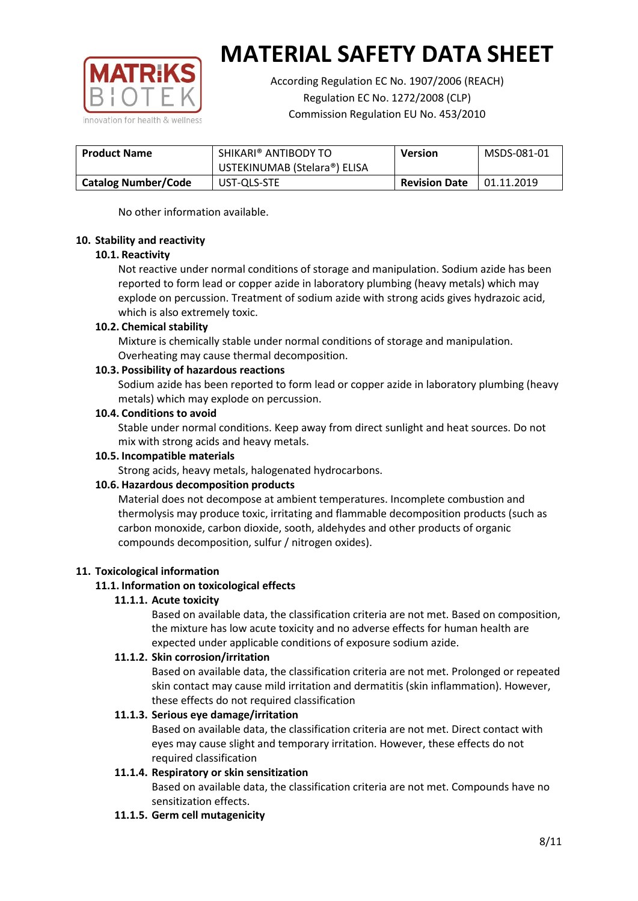

According Regulation EC No. 1907/2006 (REACH) Regulation EC No. 1272/2008 (CLP) Commission Regulation EU No. 453/2010

| SHIKARI® ANTIBODY TO<br><b>Product Name</b><br>USTEKINUMAB (Stelara®) ELISA |  | <b>Version</b>       | MSDS-081-01 |
|-----------------------------------------------------------------------------|--|----------------------|-------------|
| <b>Catalog Number/Code</b><br>UST-QLS-STE                                   |  | <b>Revision Date</b> | 01.11.2019  |

No other information available.

### **10. Stability and reactivity**

### **10.1. Reactivity**

Not reactive under normal conditions of storage and manipulation. Sodium azide has been reported to form lead or copper azide in laboratory plumbing (heavy metals) which may explode on percussion. Treatment of sodium azide with strong acids gives hydrazoic acid, which is also extremely toxic.

### **10.2. Chemical stability**

Mixture is chemically stable under normal conditions of storage and manipulation. Overheating may cause thermal decomposition.

### **10.3. Possibility of hazardous reactions**

Sodium azide has been reported to form lead or copper azide in laboratory plumbing (heavy metals) which may explode on percussion.

### **10.4. Conditions to avoid**

Stable under normal conditions. Keep away from direct sunlight and heat sources. Do not mix with strong acids and heavy metals.

#### **10.5. Incompatible materials**

Strong acids, heavy metals, halogenated hydrocarbons.

## **10.6. Hazardous decomposition products**

Material does not decompose at ambient temperatures. Incomplete combustion and thermolysis may produce toxic, irritating and flammable decomposition products (such as carbon monoxide, carbon dioxide, sooth, aldehydes and other products of organic compounds decomposition, sulfur / nitrogen oxides).

## **11. Toxicological information**

## **11.1. Information on toxicological effects**

#### **11.1.1. Acute toxicity**

Based on available data, the classification criteria are not met. Based on composition, the mixture has low acute toxicity and no adverse effects for human health are expected under applicable conditions of exposure sodium azide.

#### **11.1.2. Skin corrosion/irritation**

Based on available data, the classification criteria are not met. Prolonged or repeated skin contact may cause mild irritation and dermatitis (skin inflammation). However, these effects do not required classification

## **11.1.3. Serious eye damage/irritation**

Based on available data, the classification criteria are not met. Direct contact with eyes may cause slight and temporary irritation. However, these effects do not required classification

## **11.1.4. Respiratory or skin sensitization**

Based on available data, the classification criteria are not met. Compounds have no sensitization effects.

#### **11.1.5. Germ cell mutagenicity**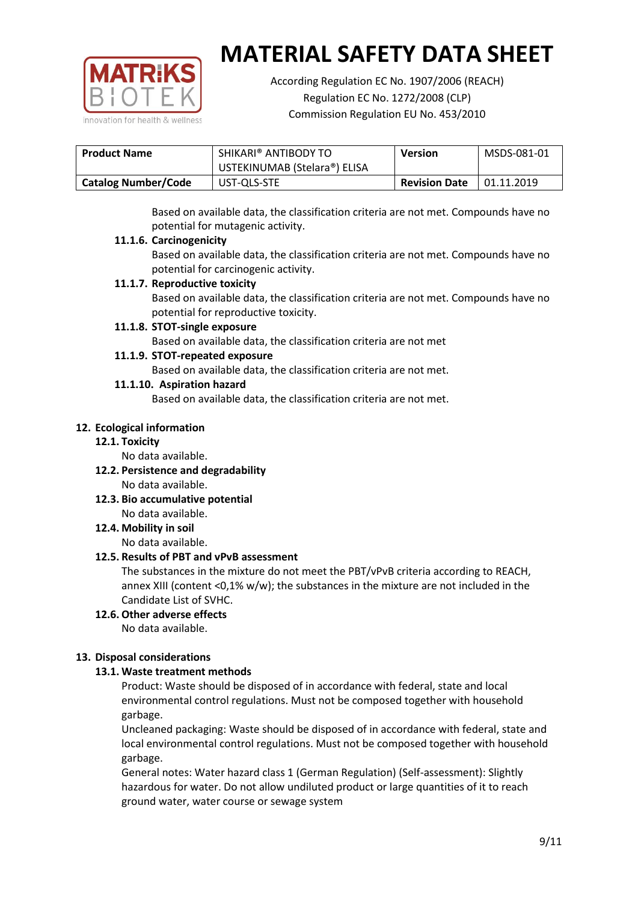

According Regulation EC No. 1907/2006 (REACH) Regulation EC No. 1272/2008 (CLP) Commission Regulation EU No. 453/2010

| <b>Product Name</b>        | SHIKARI® ANTIBODY TO         | <b>Version</b>       | MSDS-081-01 |
|----------------------------|------------------------------|----------------------|-------------|
|                            | USTEKINUMAB (Stelara®) ELISA |                      |             |
| <b>Catalog Number/Code</b> | UST-QLS-STE                  | <b>Revision Date</b> | 01.11.2019  |

Based on available data, the classification criteria are not met. Compounds have no potential for mutagenic activity.

## **11.1.6. Carcinogenicity**

Based on available data, the classification criteria are not met. Compounds have no potential for carcinogenic activity.

## **11.1.7. Reproductive toxicity**

Based on available data, the classification criteria are not met. Compounds have no potential for reproductive toxicity.

### **11.1.8. STOT-single exposure**

Based on available data, the classification criteria are not met

### **11.1.9. STOT-repeated exposure**

Based on available data, the classification criteria are not met.

### **11.1.10. Aspiration hazard**

Based on available data, the classification criteria are not met.

### **12. Ecological information**

#### **12.1. Toxicity**

No data available.

- **12.2. Persistence and degradability** No data available.
- **12.3. Bio accumulative potential** No data available.

**12.4. Mobility in soil**

No data available.

## **12.5. Results of PBT and vPvB assessment**

The substances in the mixture do not meet the PBT/vPvB criteria according to REACH, annex XIII (content <0,1% w/w); the substances in the mixture are not included in the Candidate List of SVHC.

#### **12.6. Other adverse effects** No data available.

## **13. Disposal considerations**

## **13.1. Waste treatment methods**

Product: Waste should be disposed of in accordance with federal, state and local environmental control regulations. Must not be composed together with household garbage.

Uncleaned packaging: Waste should be disposed of in accordance with federal, state and local environmental control regulations. Must not be composed together with household garbage.

General notes: Water hazard class 1 (German Regulation) (Self-assessment): Slightly hazardous for water. Do not allow undiluted product or large quantities of it to reach ground water, water course or sewage system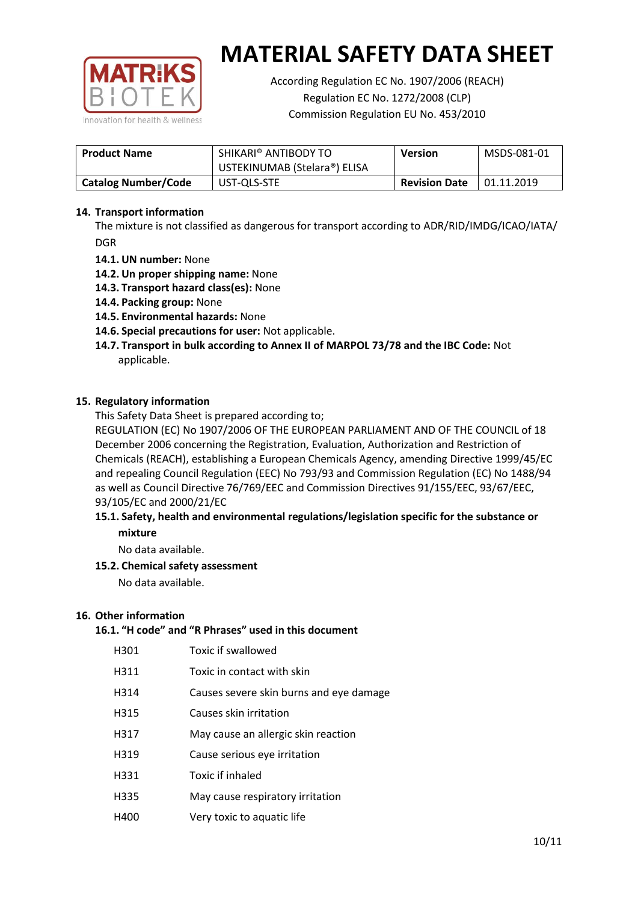

According Regulation EC No. 1907/2006 (REACH) Regulation EC No. 1272/2008 (CLP) Commission Regulation EU No. 453/2010

| <b>Product Name</b>        | SHIKARI® ANTIBODY TO<br><b>Version</b><br>USTEKINUMAB (Stelara®) ELISA |  | MSDS-081-01 |
|----------------------------|------------------------------------------------------------------------|--|-------------|
| <b>Catalog Number/Code</b> | UST-QLS-STE<br><b>Revision Date</b>                                    |  | 01.11.2019  |

## **14. Transport information**

The mixture is not classified as dangerous for transport according to ADR/RID/IMDG/ICAO/IATA/ DGR

- **14.1. UN number:** None
- **14.2. Un proper shipping name:** None
- **14.3. Transport hazard class(es):** None
- **14.4. Packing group:** None
- **14.5. Environmental hazards:** None
- **14.6. Special precautions for user:** Not applicable.
- **14.7. Transport in bulk according to Annex II of MARPOL 73/78 and the IBC Code:** Not applicable.

#### **15. Regulatory information**

This Safety Data Sheet is prepared according to;

REGULATION (EC) No 1907/2006 OF THE EUROPEAN PARLIAMENT AND OF THE COUNCIL of 18 December 2006 concerning the Registration, Evaluation, Authorization and Restriction of Chemicals (REACH), establishing a European Chemicals Agency, amending Directive 1999/45/EC and repealing Council Regulation (EEC) No 793/93 and Commission Regulation (EC) No 1488/94 as well as Council Directive 76/769/EEC and Commission Directives 91/155/EEC, 93/67/EEC, 93/105/EC and 2000/21/EC

### **15.1. Safety, health and environmental regulations/legislation specific for the substance or mixture**

No data available.

## **15.2. Chemical safety assessment**

No data available.

#### **16. Other information**

# **16.1. "H code" and "R Phrases" used in this document**

| H301 | Toxic if swallowed |
|------|--------------------|
|------|--------------------|

- H311 Toxic in contact with skin
- H314 Causes severe skin burns and eye damage
- H315 Causes skin irritation
- H317 May cause an allergic skin reaction
- H319 Cause serious eye irritation
- H331 Toxic if inhaled
- H335 May cause respiratory irritation
- H400 Very toxic to aquatic life